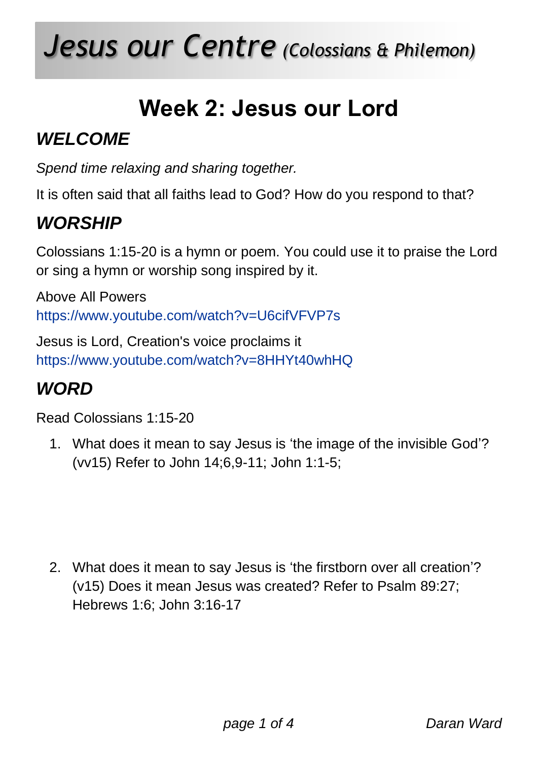# *Jesus our Centre (Colossians & Philemon)*

# **Week 2: Jesus our Lord**

# *WELCOME*

*Spend time relaxing and sharing together.*

It is often said that all faiths lead to God? How do you respond to that?

# *WORSHIP*

Colossians 1:15-20 is a hymn or poem. You could use it to praise the Lord or sing a hymn or worship song inspired by it.

Above All Powers <https://www.youtube.com/watch?v=U6cifVFVP7s>

Jesus is Lord, Creation's voice proclaims it <https://www.youtube.com/watch?v=8HHYt40whHQ>

## *WORD*

Read Colossians 1:15-20

1. What does it mean to say Jesus is 'the image of the invisible God'? (vv15) Refer to John 14;6,9-11; John 1:1-5;

2. What does it mean to say Jesus is 'the firstborn over all creation'? (v15) Does it mean Jesus was created? Refer to Psalm 89:27; Hebrews 1:6; John 3:16-17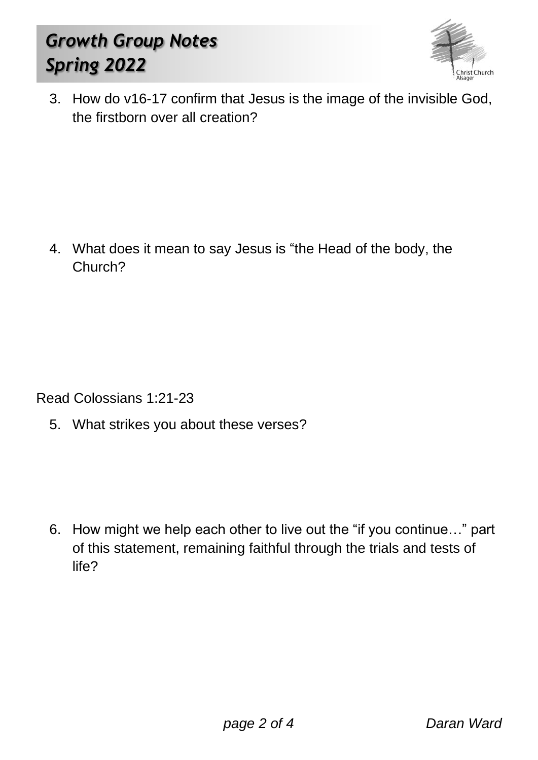# *Growth Group Notes Spring 2022*



3. How do v16-17 confirm that Jesus is the image of the invisible God, the firstborn over all creation?

4. What does it mean to say Jesus is "the Head of the body, the Church?

Read Colossians 1:21-23

5. What strikes you about these verses?

6. How might we help each other to live out the "if you continue…" part of this statement, remaining faithful through the trials and tests of life?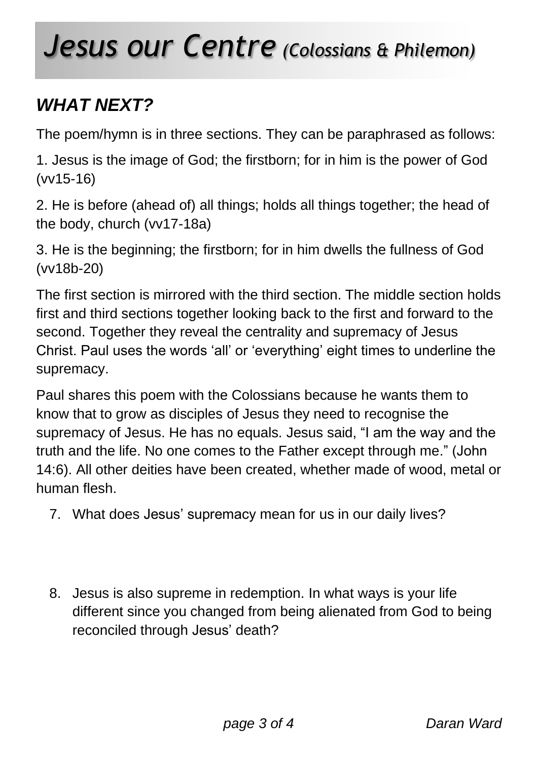# *Jesus our Centre (Colossians & Philemon)*

# *WHAT NEXT?*

The poem/hymn is in three sections. They can be paraphrased as follows:

1. Jesus is the image of God; the firstborn; for in him is the power of God (vv15-16)

2. He is before (ahead of) all things; holds all things together; the head of the body, church (vv17-18a)

3. He is the beginning; the firstborn; for in him dwells the fullness of God (vv18b-20)

The first section is mirrored with the third section. The middle section holds first and third sections together looking back to the first and forward to the second. Together they reveal the centrality and supremacy of Jesus Christ. Paul uses the words 'all' or 'everything' eight times to underline the supremacy.

Paul shares this poem with the Colossians because he wants them to know that to grow as disciples of Jesus they need to recognise the supremacy of Jesus. He has no equals. Jesus said, "I am the way and the truth and the life. No one comes to the Father except through me." (John 14:6). All other deities have been created, whether made of wood, metal or human flesh.

- 7. What does Jesus' supremacy mean for us in our daily lives?
- 8. Jesus is also supreme in redemption. In what ways is your life different since you changed from being alienated from God to being reconciled through Jesus' death?